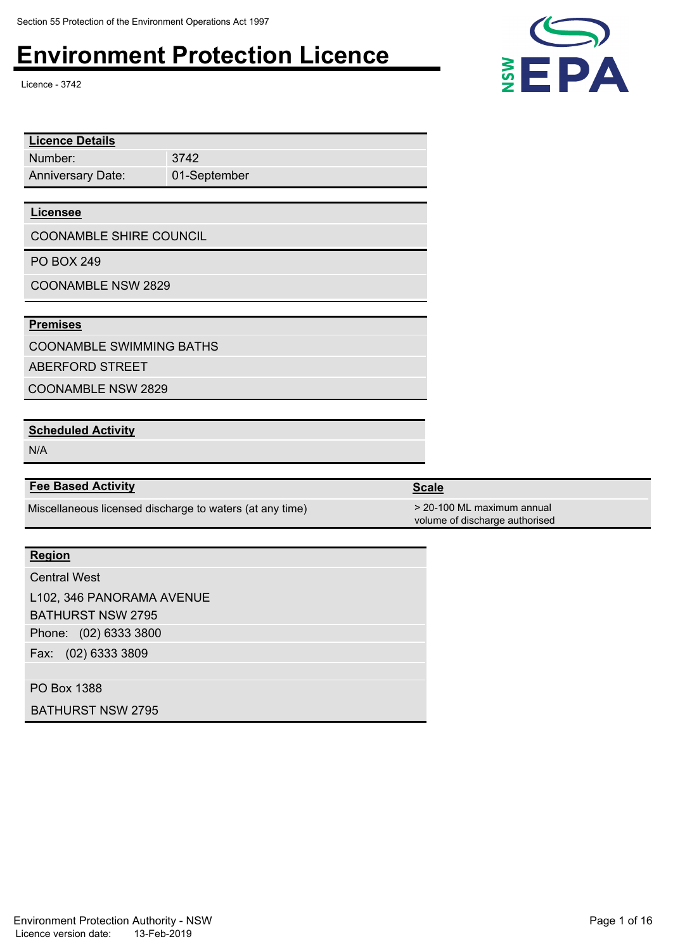Licence - 3742

| <b>Licence Details</b>          |              |  |
|---------------------------------|--------------|--|
| Number:                         | 3742         |  |
| <b>Anniversary Date:</b>        | 01-September |  |
|                                 |              |  |
| <b>Licensee</b>                 |              |  |
| <b>COONAMBLE SHIRE COUNCIL</b>  |              |  |
| <b>PO BOX 249</b>               |              |  |
| <b>COONAMBLE NSW 2829</b>       |              |  |
|                                 |              |  |
| <b>Premises</b>                 |              |  |
| COMIMIMEN F. CHININAINOR DATHOR |              |  |

COONAMBLE SWIMMING BATHS

ABERFORD STREET

COONAMBLE NSW 2829

### **Scheduled Activity**

N/A

#### **Fee Based Activity Scale Scale Scale Scale**

Miscellaneous licensed discharge to waters (at any time) > 20-100 ML maximum annual

#### **Region**

Phone: (02) 6333 3800 Fax: (02) 6333 3809 Central West L102, 346 PANORAMA AVENUE BATHURST NSW 2795

PO Box 1388

BATHURST NSW 2795



volume of discharge authorised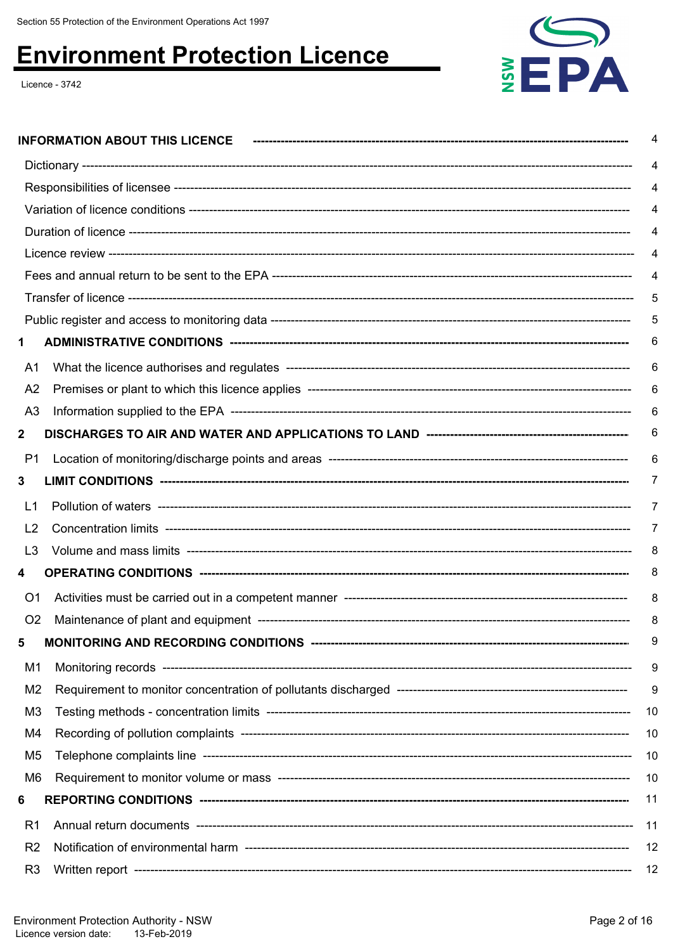Licence - 3742



|                | <b>INFORMATION ABOUT THIS LICENCE</b> | 4   |
|----------------|---------------------------------------|-----|
|                |                                       | 4   |
|                |                                       | 4   |
|                |                                       | 4   |
|                |                                       |     |
|                |                                       |     |
|                |                                       | 4   |
|                |                                       | 5   |
|                |                                       | 5   |
| 1              |                                       |     |
| A1             |                                       | 6   |
| A <sub>2</sub> |                                       | 6   |
| A <sub>3</sub> |                                       | 6   |
| $\mathbf 2$    |                                       | 6   |
| P1             |                                       | 6   |
| 3              |                                       | 7   |
| L1             |                                       | 7   |
| L <sub>2</sub> |                                       | 7   |
| L3             |                                       | 8   |
| 4              |                                       | 8   |
| O1             |                                       | 8   |
| O <sub>2</sub> |                                       | 8   |
| 5              |                                       | 9   |
| M1             |                                       | 9   |
| M <sub>2</sub> |                                       | 9   |
| M <sub>3</sub> |                                       | -10 |
| M4             |                                       | -10 |
| M5             |                                       | -10 |
| M6             |                                       | 10  |
| 6              |                                       | 11  |
| R <sub>1</sub> |                                       | 11  |
| R <sub>2</sub> |                                       | 12  |
| R <sub>3</sub> |                                       | 12  |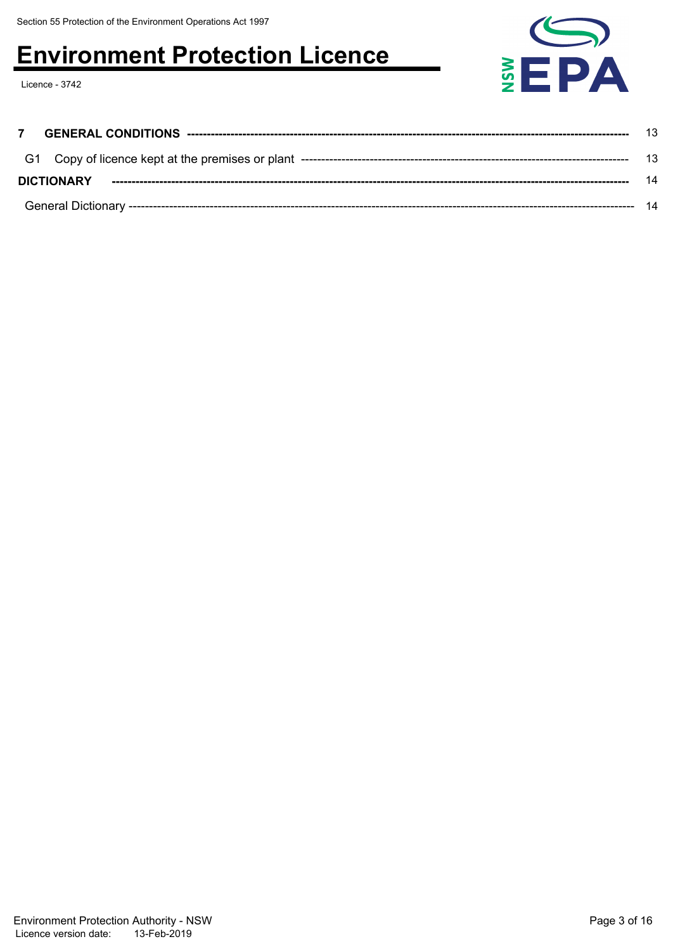Licence - 3742



| <b>DICTIONARY</b> | 14 |
|-------------------|----|
|                   | 14 |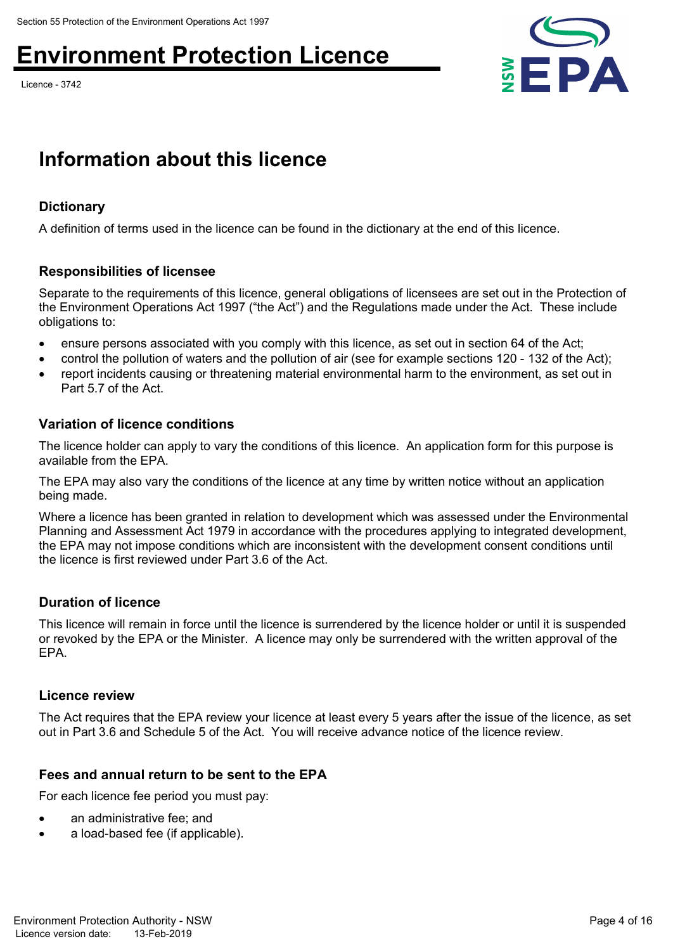Licence - 3742



### **Information about this licence**

#### **Dictionary**

A definition of terms used in the licence can be found in the dictionary at the end of this licence.

#### **Responsibilities of licensee**

Separate to the requirements of this licence, general obligations of licensees are set out in the Protection of the Environment Operations Act 1997 ("the Act") and the Regulations made under the Act. These include obligations to:

- ensure persons associated with you comply with this licence, as set out in section 64 of the Act;
- control the pollution of waters and the pollution of air (see for example sections 120 132 of the Act);
- report incidents causing or threatening material environmental harm to the environment, as set out in Part 5.7 of the Act.

#### **Variation of licence conditions**

The licence holder can apply to vary the conditions of this licence. An application form for this purpose is available from the EPA.

The EPA may also vary the conditions of the licence at any time by written notice without an application being made.

Where a licence has been granted in relation to development which was assessed under the Environmental Planning and Assessment Act 1979 in accordance with the procedures applying to integrated development, the EPA may not impose conditions which are inconsistent with the development consent conditions until the licence is first reviewed under Part 3.6 of the Act.

#### **Duration of licence**

This licence will remain in force until the licence is surrendered by the licence holder or until it is suspended or revoked by the EPA or the Minister. A licence may only be surrendered with the written approval of the EPA.

#### **Licence review**

The Act requires that the EPA review your licence at least every 5 years after the issue of the licence, as set out in Part 3.6 and Schedule 5 of the Act. You will receive advance notice of the licence review.

#### **Fees and annual return to be sent to the EPA**

For each licence fee period you must pay:

- an administrative fee; and
- a load-based fee (if applicable).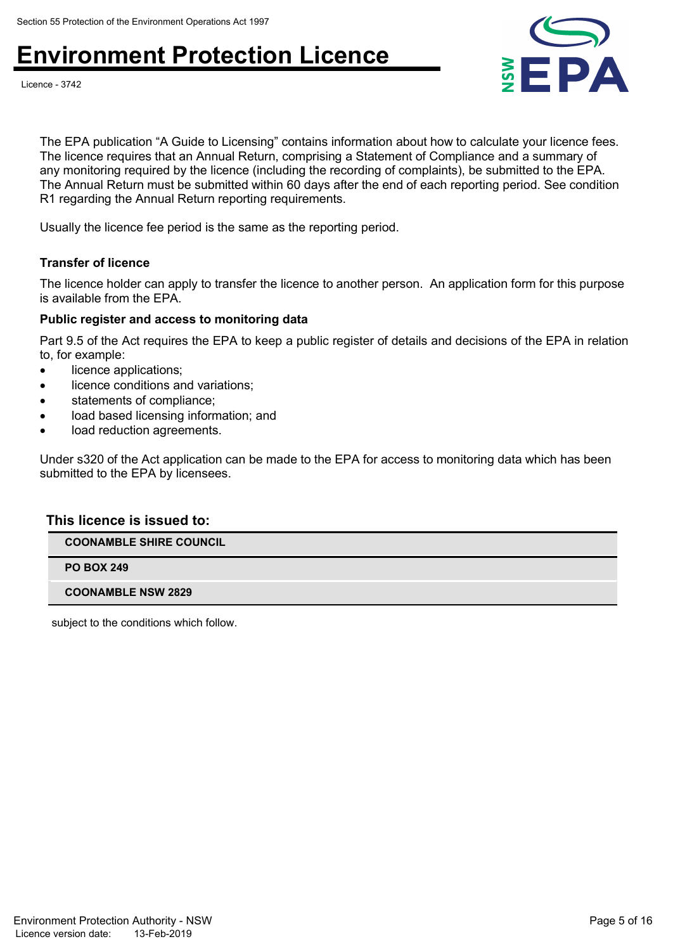



The EPA publication "A Guide to Licensing" contains information about how to calculate your licence fees. The licence requires that an Annual Return, comprising a Statement of Compliance and a summary of any monitoring required by the licence (including the recording of complaints), be submitted to the EPA. The Annual Return must be submitted within 60 days after the end of each reporting period. See condition R1 regarding the Annual Return reporting requirements.

Usually the licence fee period is the same as the reporting period.

#### **Transfer of licence**

The licence holder can apply to transfer the licence to another person. An application form for this purpose is available from the EPA.

#### **Public register and access to monitoring data**

Part 9.5 of the Act requires the EPA to keep a public register of details and decisions of the EPA in relation to, for example:

- licence applications;
- licence conditions and variations;
- statements of compliance;
- load based licensing information; and
- load reduction agreements.

Under s320 of the Act application can be made to the EPA for access to monitoring data which has been submitted to the EPA by licensees.

#### **This licence is issued to:**

**COONAMBLE SHIRE COUNCIL**

**PO BOX 249**

**COONAMBLE NSW 2829**

subject to the conditions which follow.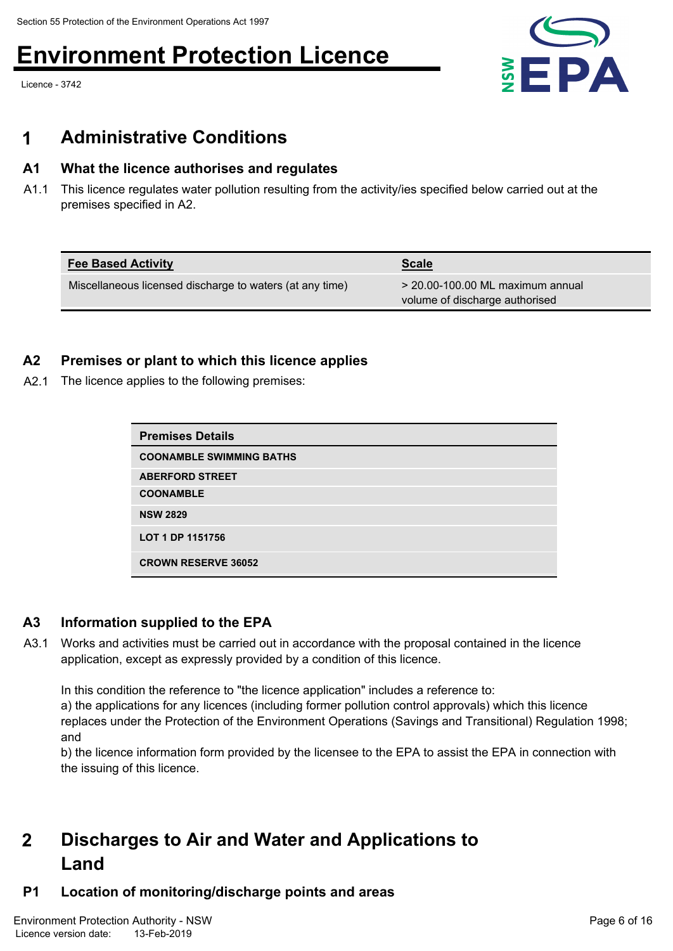Licence - 3742



### **1 Administrative Conditions**

#### **A1 What the licence authorises and regulates**

A1.1 This licence regulates water pollution resulting from the activity/ies specified below carried out at the premises specified in A2.

| <b>Fee Based Activity</b>                                | <b>Scale</b>                                                         |
|----------------------------------------------------------|----------------------------------------------------------------------|
| Miscellaneous licensed discharge to waters (at any time) | $>$ 20.00-100.00 ML maximum annual<br>volume of discharge authorised |

#### **A2 Premises or plant to which this licence applies**

A2.1 The licence applies to the following premises:

| <b>Premises Details</b>         |
|---------------------------------|
| <b>COONAMBLE SWIMMING BATHS</b> |
| <b>ABERFORD STREET</b>          |
| <b>COONAMBLE</b>                |
| <b>NSW 2829</b>                 |
| LOT 1 DP 1151756                |
| <b>CROWN RESERVE 36052</b>      |

#### **A3 Information supplied to the EPA**

A3.1 Works and activities must be carried out in accordance with the proposal contained in the licence application, except as expressly provided by a condition of this licence.

In this condition the reference to "the licence application" includes a reference to:

a) the applications for any licences (including former pollution control approvals) which this licence replaces under the Protection of the Environment Operations (Savings and Transitional) Regulation 1998; and

b) the licence information form provided by the licensee to the EPA to assist the EPA in connection with the issuing of this licence.

#### **Discharges to Air and Water and Applications to Land 2**

#### **P1 Location of monitoring/discharge points and areas**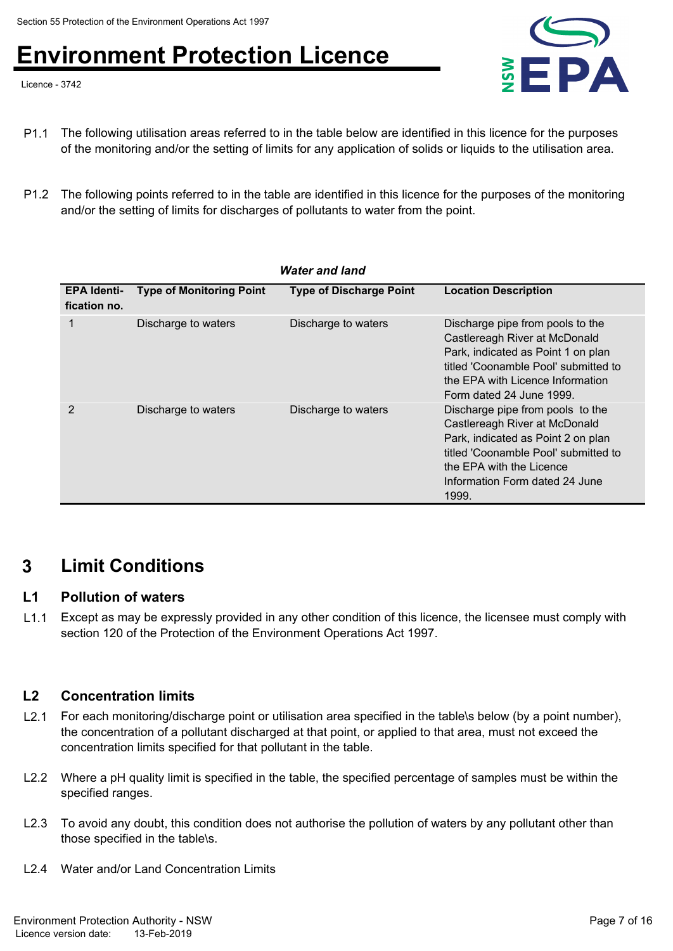Licence - 3742



- P1.1 The following utilisation areas referred to in the table below are identified in this licence for the purposes of the monitoring and/or the setting of limits for any application of solids or liquids to the utilisation area.
- P1.2 The following points referred to in the table are identified in this licence for the purposes of the monitoring and/or the setting of limits for discharges of pollutants to water from the point.

|                                    |                                 | <b>Water and land</b>          |                                                                                                                                                                                                                        |
|------------------------------------|---------------------------------|--------------------------------|------------------------------------------------------------------------------------------------------------------------------------------------------------------------------------------------------------------------|
| <b>EPA Identi-</b><br>fication no. | <b>Type of Monitoring Point</b> | <b>Type of Discharge Point</b> | <b>Location Description</b>                                                                                                                                                                                            |
| 1                                  | Discharge to waters             | Discharge to waters            | Discharge pipe from pools to the<br>Castlereagh River at McDonald<br>Park, indicated as Point 1 on plan<br>titled 'Coonamble Pool' submitted to<br>the EPA with Licence Information<br>Form dated 24 June 1999.        |
| 2                                  | Discharge to waters             | Discharge to waters            | Discharge pipe from pools to the<br>Castlereagh River at McDonald<br>Park, indicated as Point 2 on plan<br>titled 'Coonamble Pool' submitted to<br>the EPA with the Licence<br>Information Form dated 24 June<br>1999. |

### **3 Limit Conditions**

#### **L1 Pollution of waters**

L1.1 Except as may be expressly provided in any other condition of this licence, the licensee must comply with section 120 of the Protection of the Environment Operations Act 1997.

### **L2 Concentration limits**

- L2.1 For each monitoring/discharge point or utilisation area specified in the table\s below (by a point number), the concentration of a pollutant discharged at that point, or applied to that area, must not exceed the concentration limits specified for that pollutant in the table.
- L2.2 Where a pH quality limit is specified in the table, the specified percentage of samples must be within the specified ranges.
- L2.3 To avoid any doubt, this condition does not authorise the pollution of waters by any pollutant other than those specified in the table\s.
- L2.4 Water and/or Land Concentration Limits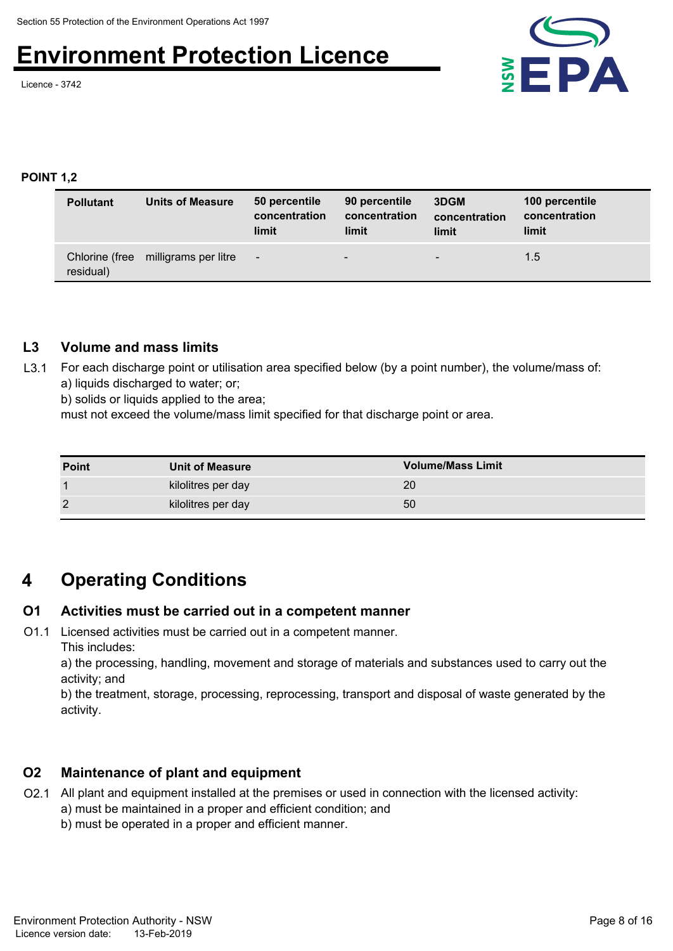Licence - 3742



#### **POINT 1,2**

| <b>Pollutant</b> | <b>Units of Measure</b>             | 50 percentile<br>concentration<br>limit | 90 percentile<br>concentration<br>limit | 3DGM<br>concentration<br>limit | 100 percentile<br>concentration<br>limit |
|------------------|-------------------------------------|-----------------------------------------|-----------------------------------------|--------------------------------|------------------------------------------|
| residual)        | Chlorine (free milligrams per litre | $-$                                     | $\overline{\phantom{a}}$                | -                              | 1.5                                      |

#### **L3 Volume and mass limits**

L3.1 For each discharge point or utilisation area specified below (by a point number), the volume/mass of: a) liquids discharged to water; or;

b) solids or liquids applied to the area;

must not exceed the volume/mass limit specified for that discharge point or area.

| <b>Point</b> | <b>Unit of Measure</b> | <b>Volume/Mass Limit</b> |
|--------------|------------------------|--------------------------|
|              | kilolitres per day     | 20                       |
|              | kilolitres per day     | 50                       |

### **4 Operating Conditions**

#### **O1 Activities must be carried out in a competent manner**

O1.1 Licensed activities must be carried out in a competent manner. This includes:

a) the processing, handling, movement and storage of materials and substances used to carry out the activity; and

b) the treatment, storage, processing, reprocessing, transport and disposal of waste generated by the activity.

#### **O2 Maintenance of plant and equipment**

- O2.1 All plant and equipment installed at the premises or used in connection with the licensed activity: a) must be maintained in a proper and efficient condition; and
	- b) must be operated in a proper and efficient manner.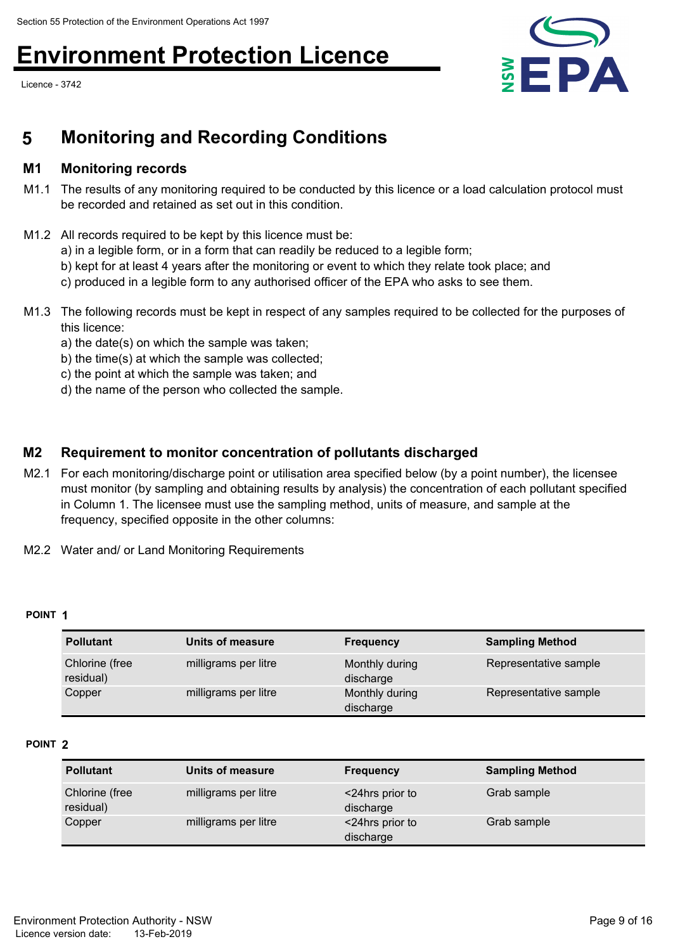Licence - 3742



### **5 Monitoring and Recording Conditions**

#### **M1 Monitoring records**

- M1.1 The results of any monitoring required to be conducted by this licence or a load calculation protocol must be recorded and retained as set out in this condition.
- M1.2 All records required to be kept by this licence must be:
	- a) in a legible form, or in a form that can readily be reduced to a legible form;
	- b) kept for at least 4 years after the monitoring or event to which they relate took place; and
	- c) produced in a legible form to any authorised officer of the EPA who asks to see them.
- M1.3 The following records must be kept in respect of any samples required to be collected for the purposes of this licence:
	- a) the date(s) on which the sample was taken;
	- b) the time(s) at which the sample was collected;
	- c) the point at which the sample was taken; and
	- d) the name of the person who collected the sample.

#### **M2 Requirement to monitor concentration of pollutants discharged**

- M2.1 For each monitoring/discharge point or utilisation area specified below (by a point number), the licensee must monitor (by sampling and obtaining results by analysis) the concentration of each pollutant specified in Column 1. The licensee must use the sampling method, units of measure, and sample at the frequency, specified opposite in the other columns:
- M2.2 Water and/ or Land Monitoring Requirements

#### **POINT 1**

| <b>Pollutant</b>            | Units of measure     | <b>Frequency</b>            | <b>Sampling Method</b> |
|-----------------------------|----------------------|-----------------------------|------------------------|
| Chlorine (free<br>residual) | milligrams per litre | Monthly during<br>discharge | Representative sample  |
| Copper                      | milligrams per litre | Monthly during<br>discharge | Representative sample  |

#### **POINT 2**

| <b>Pollutant</b>            | Units of measure     | <b>Frequency</b>             | <b>Sampling Method</b> |
|-----------------------------|----------------------|------------------------------|------------------------|
| Chlorine (free<br>residual) | milligrams per litre | <24hrs prior to<br>discharge | Grab sample            |
| Copper                      | milligrams per litre | <24hrs prior to<br>discharge | Grab sample            |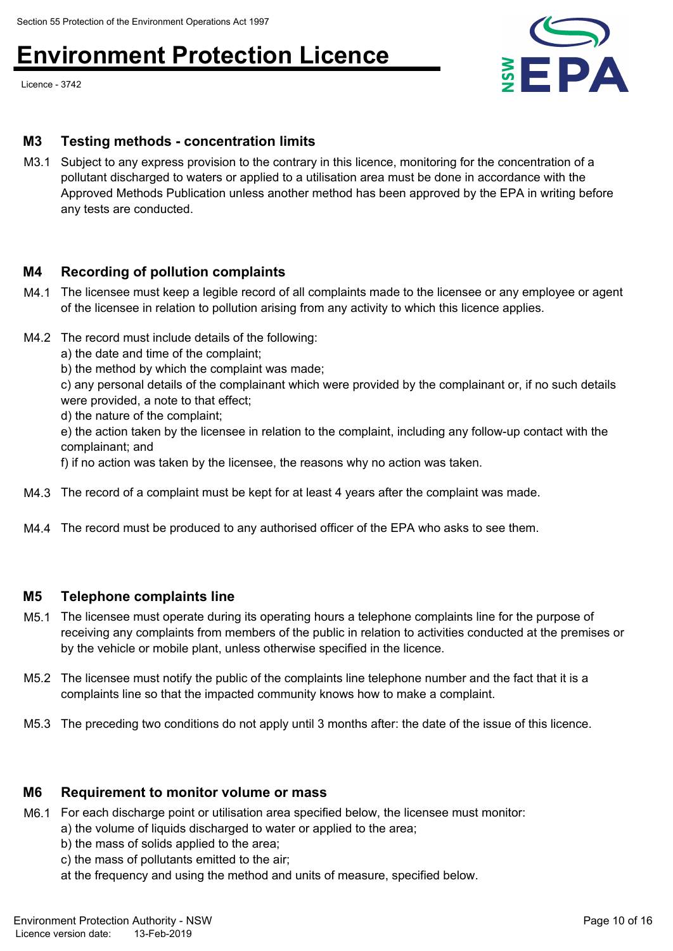Licence - 3742



#### **M3 Testing methods - concentration limits**

M3.1 Subject to any express provision to the contrary in this licence, monitoring for the concentration of a pollutant discharged to waters or applied to a utilisation area must be done in accordance with the Approved Methods Publication unless another method has been approved by the EPA in writing before any tests are conducted.

#### **M4 Recording of pollution complaints**

- M4.1 The licensee must keep a legible record of all complaints made to the licensee or any employee or agent of the licensee in relation to pollution arising from any activity to which this licence applies.
- M4.2 The record must include details of the following:
	- a) the date and time of the complaint;
	- b) the method by which the complaint was made;

c) any personal details of the complainant which were provided by the complainant or, if no such details were provided, a note to that effect;

d) the nature of the complaint;

e) the action taken by the licensee in relation to the complaint, including any follow-up contact with the complainant; and

f) if no action was taken by the licensee, the reasons why no action was taken.

- M4.3 The record of a complaint must be kept for at least 4 years after the complaint was made.
- M4.4 The record must be produced to any authorised officer of the EPA who asks to see them.

#### **M5 Telephone complaints line**

- M5.1 The licensee must operate during its operating hours a telephone complaints line for the purpose of receiving any complaints from members of the public in relation to activities conducted at the premises or by the vehicle or mobile plant, unless otherwise specified in the licence.
- M5.2 The licensee must notify the public of the complaints line telephone number and the fact that it is a complaints line so that the impacted community knows how to make a complaint.
- M5.3 The preceding two conditions do not apply until 3 months after: the date of the issue of this licence.

#### **M6 Requirement to monitor volume or mass**

- M6.1 For each discharge point or utilisation area specified below, the licensee must monitor:
	- a) the volume of liquids discharged to water or applied to the area;
		- b) the mass of solids applied to the area;
		- c) the mass of pollutants emitted to the air;
		- at the frequency and using the method and units of measure, specified below.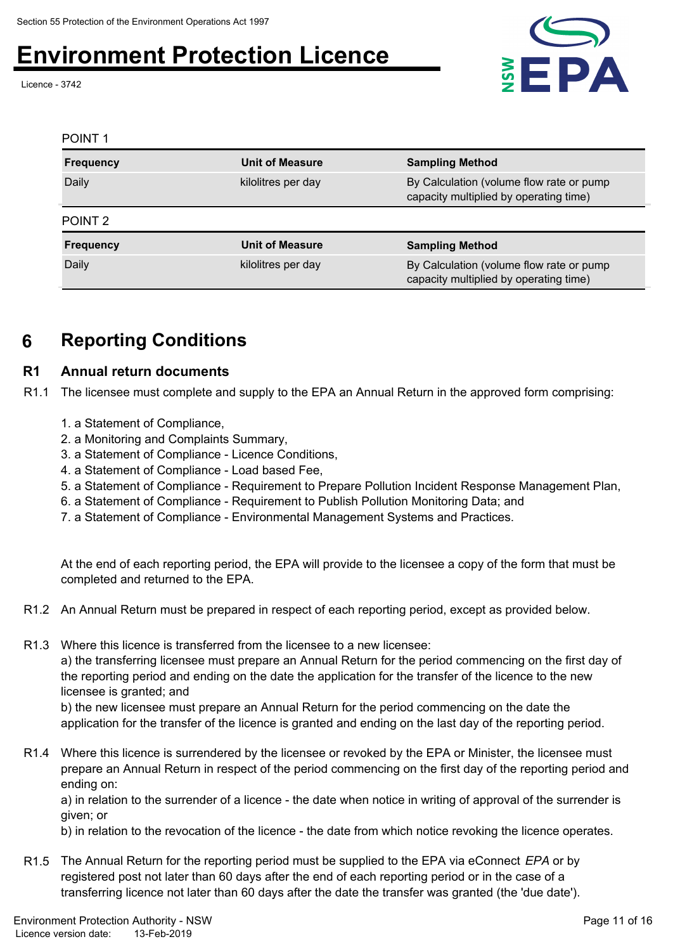Licence - 3742



#### **Frequency Unit of Measure** POINT 1 **Sampling Method** kilolitres per day **By Calculation (volume flow rate or pump** capacity multiplied by operating time) Daily **Frequency Unit of Measure** POINT 2 **Sampling Method** kilolitres per day By Calculation (volume flow rate or pump capacity multiplied by operating time) Daily

### **6 Reporting Conditions**

### **R1 Annual return documents**

R1.1 The licensee must complete and supply to the EPA an Annual Return in the approved form comprising:

- 1. a Statement of Compliance,
- 2. a Monitoring and Complaints Summary,
- 3. a Statement of Compliance Licence Conditions,
- 4. a Statement of Compliance Load based Fee,
- 5. a Statement of Compliance Requirement to Prepare Pollution Incident Response Management Plan,
- 6. a Statement of Compliance Requirement to Publish Pollution Monitoring Data; and
- 7. a Statement of Compliance Environmental Management Systems and Practices.

At the end of each reporting period, the EPA will provide to the licensee a copy of the form that must be completed and returned to the EPA.

- R1.2 An Annual Return must be prepared in respect of each reporting period, except as provided below.
- R1.3 Where this licence is transferred from the licensee to a new licensee: a) the transferring licensee must prepare an Annual Return for the period commencing on the first day of the reporting period and ending on the date the application for the transfer of the licence to the new

licensee is granted; and

b) the new licensee must prepare an Annual Return for the period commencing on the date the application for the transfer of the licence is granted and ending on the last day of the reporting period.

R1.4 Where this licence is surrendered by the licensee or revoked by the EPA or Minister, the licensee must prepare an Annual Return in respect of the period commencing on the first day of the reporting period and ending on:

a) in relation to the surrender of a licence - the date when notice in writing of approval of the surrender is given; or

b) in relation to the revocation of the licence - the date from which notice revoking the licence operates.

R1.5 The Annual Return for the reporting period must be supplied to the EPA via eConnect *EPA* or by registered post not later than 60 days after the end of each reporting period or in the case of a transferring licence not later than 60 days after the date the transfer was granted (the 'due date').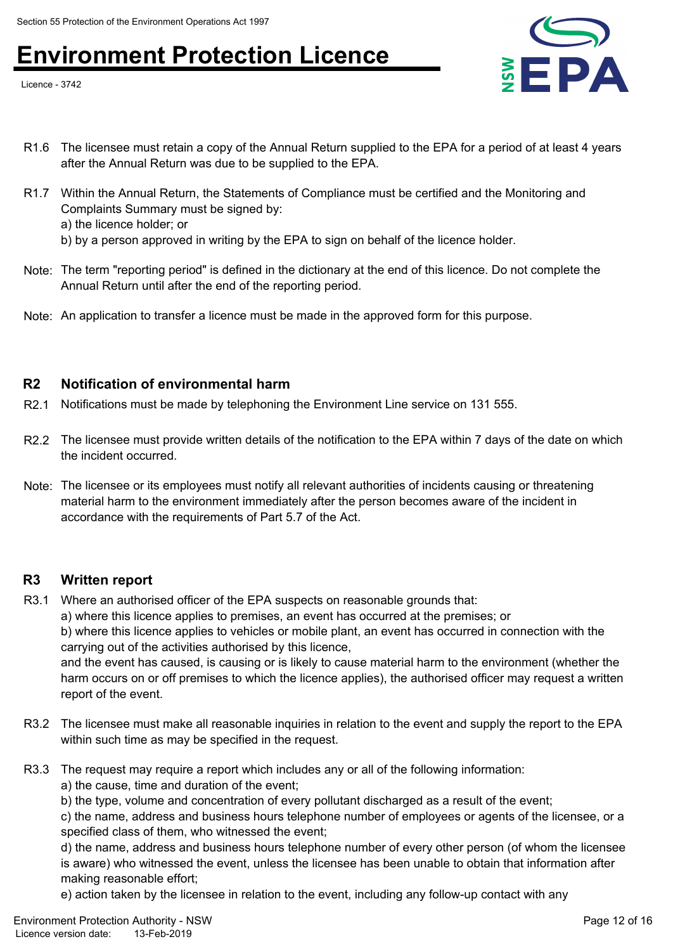Licence - 3742



- R1.6 The licensee must retain a copy of the Annual Return supplied to the EPA for a period of at least 4 years after the Annual Return was due to be supplied to the EPA.
- R1.7 Within the Annual Return, the Statements of Compliance must be certified and the Monitoring and Complaints Summary must be signed by:
	- a) the licence holder; or

b) by a person approved in writing by the EPA to sign on behalf of the licence holder.

- Note: The term "reporting period" is defined in the dictionary at the end of this licence. Do not complete the Annual Return until after the end of the reporting period.
- Note: An application to transfer a licence must be made in the approved form for this purpose.

#### **R2 Notification of environmental harm**

- R2.1 Notifications must be made by telephoning the Environment Line service on 131 555.
- R2.2 The licensee must provide written details of the notification to the EPA within 7 days of the date on which the incident occurred.
- Note: The licensee or its employees must notify all relevant authorities of incidents causing or threatening material harm to the environment immediately after the person becomes aware of the incident in accordance with the requirements of Part 5.7 of the Act.

#### **R3 Written report**

R3.1 Where an authorised officer of the EPA suspects on reasonable grounds that:

a) where this licence applies to premises, an event has occurred at the premises; or b) where this licence applies to vehicles or mobile plant, an event has occurred in connection with the carrying out of the activities authorised by this licence,

and the event has caused, is causing or is likely to cause material harm to the environment (whether the harm occurs on or off premises to which the licence applies), the authorised officer may request a written report of the event.

- R3.2 The licensee must make all reasonable inquiries in relation to the event and supply the report to the EPA within such time as may be specified in the request.
- R3.3 The request may require a report which includes any or all of the following information: a) the cause, time and duration of the event;
	- b) the type, volume and concentration of every pollutant discharged as a result of the event;

c) the name, address and business hours telephone number of employees or agents of the licensee, or a specified class of them, who witnessed the event;

d) the name, address and business hours telephone number of every other person (of whom the licensee is aware) who witnessed the event, unless the licensee has been unable to obtain that information after making reasonable effort;

e) action taken by the licensee in relation to the event, including any follow-up contact with any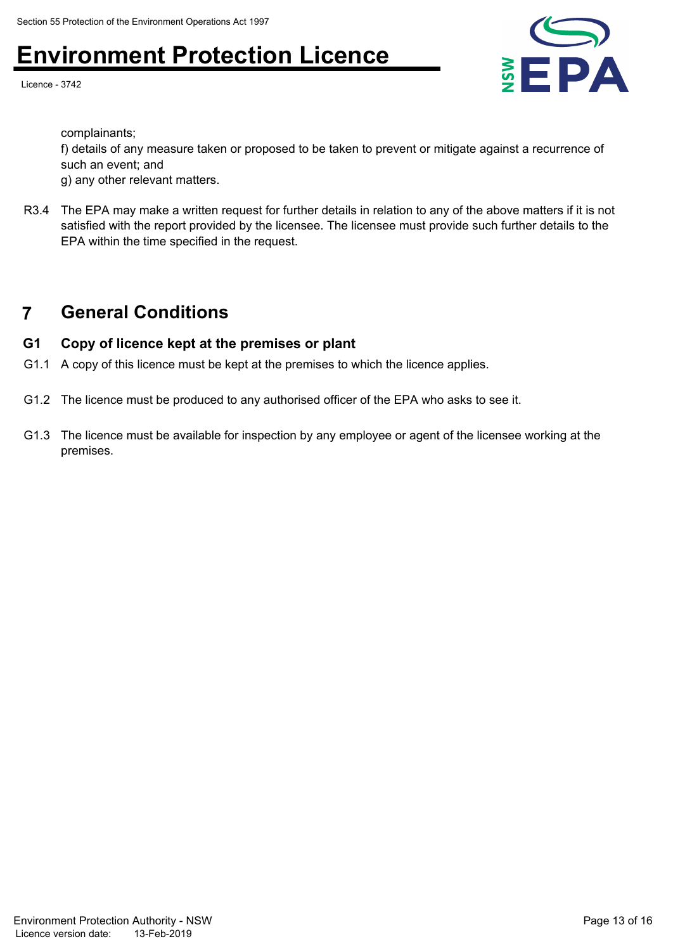Licence - 3742



complainants;

f) details of any measure taken or proposed to be taken to prevent or mitigate against a recurrence of such an event; and

g) any other relevant matters.

R3.4 The EPA may make a written request for further details in relation to any of the above matters if it is not satisfied with the report provided by the licensee. The licensee must provide such further details to the EPA within the time specified in the request.

### **7 General Conditions**

#### **G1 Copy of licence kept at the premises or plant**

- G1.1 A copy of this licence must be kept at the premises to which the licence applies.
- G1.2 The licence must be produced to any authorised officer of the EPA who asks to see it.
- G1.3 The licence must be available for inspection by any employee or agent of the licensee working at the premises.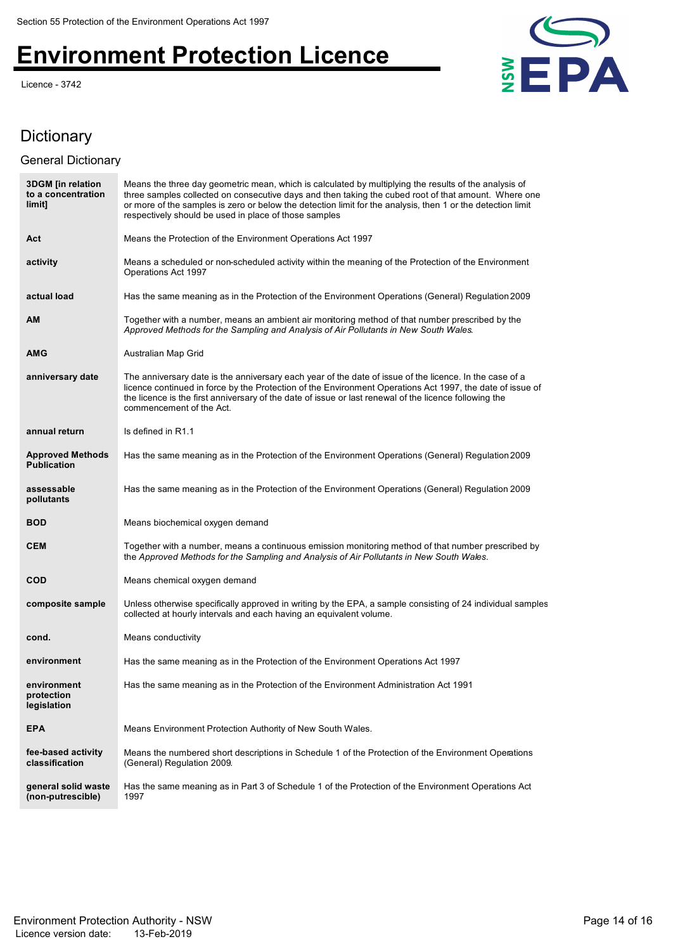Licence - 3742



### **Dictionary**

#### General Dictionary

| <b>3DGM</b> [in relation<br>to a concentration<br>limit] | Means the three day geometric mean, which is calculated by multiplying the results of the analysis of<br>three samples collected on consecutive days and then taking the cubed root of that amount. Where one<br>or more of the samples is zero or below the detection limit for the analysis, then 1 or the detection limit<br>respectively should be used in place of those samples |
|----------------------------------------------------------|---------------------------------------------------------------------------------------------------------------------------------------------------------------------------------------------------------------------------------------------------------------------------------------------------------------------------------------------------------------------------------------|
| Act                                                      | Means the Protection of the Environment Operations Act 1997                                                                                                                                                                                                                                                                                                                           |
| activity                                                 | Means a scheduled or non-scheduled activity within the meaning of the Protection of the Environment<br>Operations Act 1997                                                                                                                                                                                                                                                            |
| actual load                                              | Has the same meaning as in the Protection of the Environment Operations (General) Regulation 2009                                                                                                                                                                                                                                                                                     |
| AM                                                       | Together with a number, means an ambient air monitoring method of that number prescribed by the<br>Approved Methods for the Sampling and Analysis of Air Pollutants in New South Wales.                                                                                                                                                                                               |
| AMG                                                      | Australian Map Grid                                                                                                                                                                                                                                                                                                                                                                   |
| anniversary date                                         | The anniversary date is the anniversary each year of the date of issue of the licence. In the case of a<br>licence continued in force by the Protection of the Environment Operations Act 1997, the date of issue of<br>the licence is the first anniversary of the date of issue or last renewal of the licence following the<br>commencement of the Act.                            |
| annual return                                            | Is defined in R1.1                                                                                                                                                                                                                                                                                                                                                                    |
| <b>Approved Methods</b><br><b>Publication</b>            | Has the same meaning as in the Protection of the Environment Operations (General) Regulation 2009                                                                                                                                                                                                                                                                                     |
| assessable<br>pollutants                                 | Has the same meaning as in the Protection of the Environment Operations (General) Regulation 2009                                                                                                                                                                                                                                                                                     |
| <b>BOD</b>                                               | Means biochemical oxygen demand                                                                                                                                                                                                                                                                                                                                                       |
| <b>CEM</b>                                               | Together with a number, means a continuous emission monitoring method of that number prescribed by<br>the Approved Methods for the Sampling and Analysis of Air Pollutants in New South Wales.                                                                                                                                                                                        |
| <b>COD</b>                                               | Means chemical oxygen demand                                                                                                                                                                                                                                                                                                                                                          |
| composite sample                                         | Unless otherwise specifically approved in writing by the EPA, a sample consisting of 24 individual samples<br>collected at hourly intervals and each having an equivalent volume.                                                                                                                                                                                                     |
| cond.                                                    | Means conductivity                                                                                                                                                                                                                                                                                                                                                                    |
| environment                                              | Has the same meaning as in the Protection of the Environment Operations Act 1997                                                                                                                                                                                                                                                                                                      |
| environment<br>protection<br>legislation                 | Has the same meaning as in the Protection of the Environment Administration Act 1991                                                                                                                                                                                                                                                                                                  |
| <b>EPA</b>                                               | Means Environment Protection Authority of New South Wales.                                                                                                                                                                                                                                                                                                                            |
| fee-based activity<br>classification                     | Means the numbered short descriptions in Schedule 1 of the Protection of the Environment Operations<br>(General) Regulation 2009.                                                                                                                                                                                                                                                     |
| general solid waste<br>(non-putrescible)                 | Has the same meaning as in Part 3 of Schedule 1 of the Protection of the Environment Operations Act<br>1997                                                                                                                                                                                                                                                                           |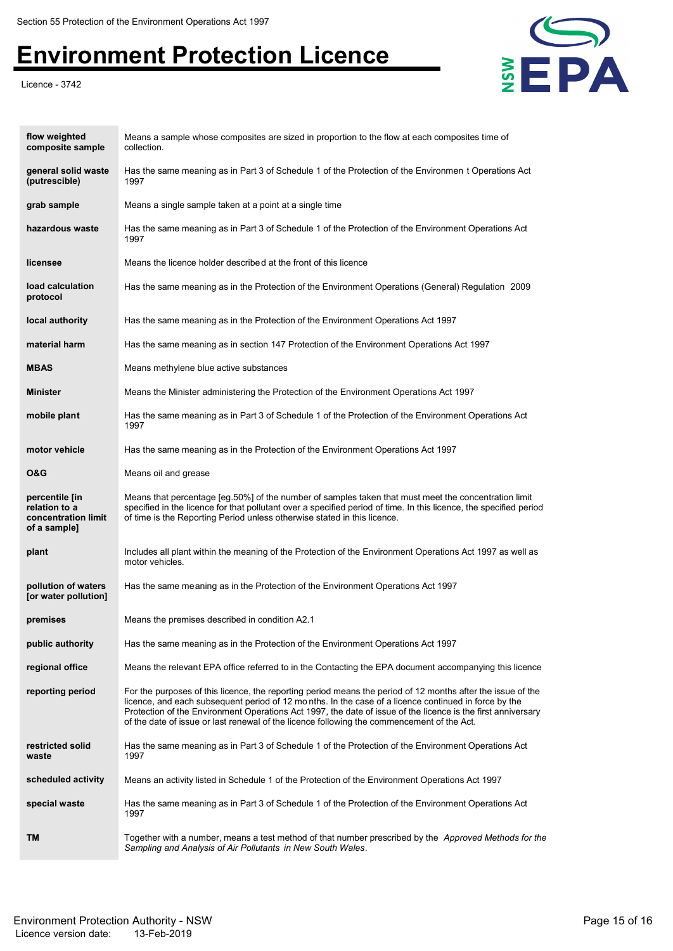Licence - 3742



| flow weighted<br>composite sample                                      | Means a sample whose composites are sized in proportion to the flow at each composites time of<br>collection.                                                                                                                                                                                                                                                                                                                     |
|------------------------------------------------------------------------|-----------------------------------------------------------------------------------------------------------------------------------------------------------------------------------------------------------------------------------------------------------------------------------------------------------------------------------------------------------------------------------------------------------------------------------|
| general solid waste<br>(putrescible)                                   | Has the same meaning as in Part 3 of Schedule 1 of the Protection of the Environmen t Operations Act<br>1997                                                                                                                                                                                                                                                                                                                      |
| grab sample                                                            | Means a single sample taken at a point at a single time                                                                                                                                                                                                                                                                                                                                                                           |
| hazardous waste                                                        | Has the same meaning as in Part 3 of Schedule 1 of the Protection of the Environment Operations Act<br>1997                                                                                                                                                                                                                                                                                                                       |
| licensee                                                               | Means the licence holder described at the front of this licence                                                                                                                                                                                                                                                                                                                                                                   |
| load calculation<br>protocol                                           | Has the same meaning as in the Protection of the Environment Operations (General) Regulation 2009                                                                                                                                                                                                                                                                                                                                 |
| local authority                                                        | Has the same meaning as in the Protection of the Environment Operations Act 1997                                                                                                                                                                                                                                                                                                                                                  |
| material harm                                                          | Has the same meaning as in section 147 Protection of the Environment Operations Act 1997                                                                                                                                                                                                                                                                                                                                          |
| MBAS                                                                   | Means methylene blue active substances                                                                                                                                                                                                                                                                                                                                                                                            |
| Minister                                                               | Means the Minister administering the Protection of the Environment Operations Act 1997                                                                                                                                                                                                                                                                                                                                            |
| mobile plant                                                           | Has the same meaning as in Part 3 of Schedule 1 of the Protection of the Environment Operations Act<br>1997                                                                                                                                                                                                                                                                                                                       |
| motor vehicle                                                          | Has the same meaning as in the Protection of the Environment Operations Act 1997                                                                                                                                                                                                                                                                                                                                                  |
| O&G                                                                    | Means oil and grease                                                                                                                                                                                                                                                                                                                                                                                                              |
| percentile [in<br>relation to a<br>concentration limit<br>of a sample] | Means that percentage [eg.50%] of the number of samples taken that must meet the concentration limit<br>specified in the licence for that pollutant over a specified period of time. In this licence, the specified period<br>of time is the Reporting Period unless otherwise stated in this licence.                                                                                                                            |
| plant                                                                  | Includes all plant within the meaning of the Protection of the Environment Operations Act 1997 as well as<br>motor vehicles.                                                                                                                                                                                                                                                                                                      |
| pollution of waters<br>[or water pollution]                            | Has the same meaning as in the Protection of the Environment Operations Act 1997                                                                                                                                                                                                                                                                                                                                                  |
| premises                                                               | Means the premises described in condition A2.1                                                                                                                                                                                                                                                                                                                                                                                    |
| public authority                                                       | Has the same meaning as in the Protection of the Environment Operations Act 1997                                                                                                                                                                                                                                                                                                                                                  |
| regional office                                                        | Means the relevant EPA office referred to in the Contacting the EPA document accompanying this licence                                                                                                                                                                                                                                                                                                                            |
| reporting period                                                       | For the purposes of this licence, the reporting period means the period of 12 months after the issue of the<br>licence, and each subsequent period of 12 months. In the case of a licence continued in force by the<br>Protection of the Environment Operations Act 1997, the date of issue of the licence is the first anniversary<br>of the date of issue or last renewal of the licence following the commencement of the Act. |
| restricted solid<br>waste                                              | Has the same meaning as in Part 3 of Schedule 1 of the Protection of the Environment Operations Act<br>1997                                                                                                                                                                                                                                                                                                                       |
| scheduled activity                                                     | Means an activity listed in Schedule 1 of the Protection of the Environment Operations Act 1997                                                                                                                                                                                                                                                                                                                                   |
| special waste                                                          | Has the same meaning as in Part 3 of Schedule 1 of the Protection of the Environment Operations Act<br>1997                                                                                                                                                                                                                                                                                                                       |
| TM                                                                     | Together with a number, means a test method of that number prescribed by the <i>Approved Methods for the</i><br>Sampling and Analysis of Air Pollutants in New South Wales.                                                                                                                                                                                                                                                       |